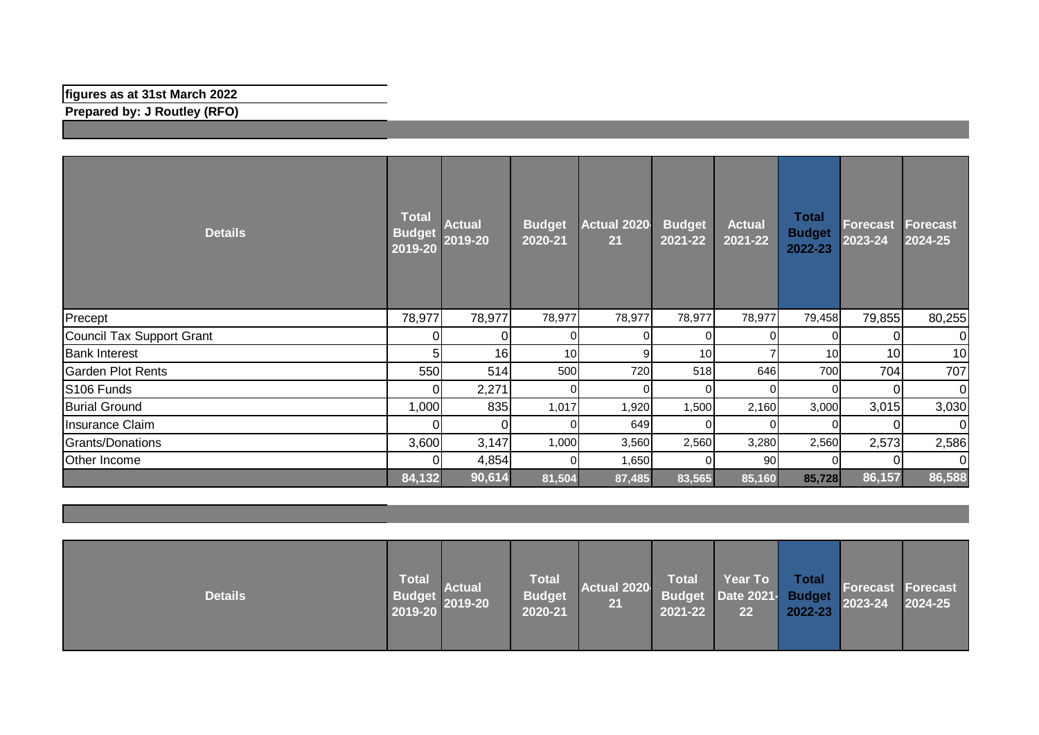## **figures as at 31st March 2022**

**Prepared by: J Routley (RFO)**

| <b>Details</b>            | <b>Total</b><br><b>Budget</b><br>2019-20 | <b>Actual</b><br>2019-20 | <b>Budget</b><br>2020-21 | <b>Actual 2020</b><br>21 | <b>Budget</b><br>$2021 - 22$ | <b>Actual</b><br>2021-22 | <b>Total</b><br><b>Budget</b><br>2022-23 | Forecast<br>2023-24 | <b>Forecast</b><br>2024-25 |
|---------------------------|------------------------------------------|--------------------------|--------------------------|--------------------------|------------------------------|--------------------------|------------------------------------------|---------------------|----------------------------|
| Precept                   | 78,977                                   | 78,977                   | 78,977                   | 78,977                   | 78,977                       | 78,977                   | 79,458                                   | 79,855              | 80,255                     |
| Council Tax Support Grant |                                          | 0                        | $\Omega$                 | 01                       | $\Omega$                     | 01                       |                                          | 0                   | 0I                         |
| <b>Bank Interest</b>      | 5                                        | 16                       | 10                       | 9                        | 10                           |                          | 10                                       | 10                  | 10 <sub>l</sub>            |
| <b>Garden Plot Rents</b>  | 550                                      | 514                      | 500                      | 720                      | 518                          | 646                      | 700                                      | 704                 | 707                        |
| S106 Funds                |                                          | 2,271                    | $\Omega$                 | $\overline{0}$           | $\Omega$                     | $\Omega$                 | $\Omega$                                 | $\Omega$            | $\overline{0}$             |
| <b>Burial Ground</b>      | 1,000                                    | 835                      | 1,017                    | 1,920                    | 1,500                        | 2,160                    | 3,000                                    | 3,015               | 3,030                      |
| Insurance Claim           |                                          | 0                        | $\Omega$                 | 649                      | $\Omega$                     | $\Omega$                 |                                          | $\Omega$            | 01                         |
| Grants/Donations          | 3,600                                    | 3,147                    | 1,000                    | 3,560                    | 2,560                        | 3,280                    | 2,560                                    | 2,573               | 2,586                      |
| Other Income              |                                          | 4,854                    | $\Omega$                 | 1,650                    | $\Omega$                     | 90                       |                                          |                     | ΟI                         |
|                           | 84,132                                   | 90,614                   | 81,504                   | 87,485                   | 83,565                       | 85,160                   | 85,728                                   | 86,157              | 86,588                     |

| <b>Details</b> | <b>Total</b><br><b>Budget</b><br>2019-20 | <b>Actual</b><br>2019-20 | <b>Total</b><br><b>Budget</b><br>2020-21 | Actual 2020<br>21 | <b>Total</b><br>2021-22 | Year To<br>Budget Date 2021- Budget<br>22 | Total<br>2022-23 | <b>Forecast Forecast</b><br>2023-24 | 2024-25 |
|----------------|------------------------------------------|--------------------------|------------------------------------------|-------------------|-------------------------|-------------------------------------------|------------------|-------------------------------------|---------|
|----------------|------------------------------------------|--------------------------|------------------------------------------|-------------------|-------------------------|-------------------------------------------|------------------|-------------------------------------|---------|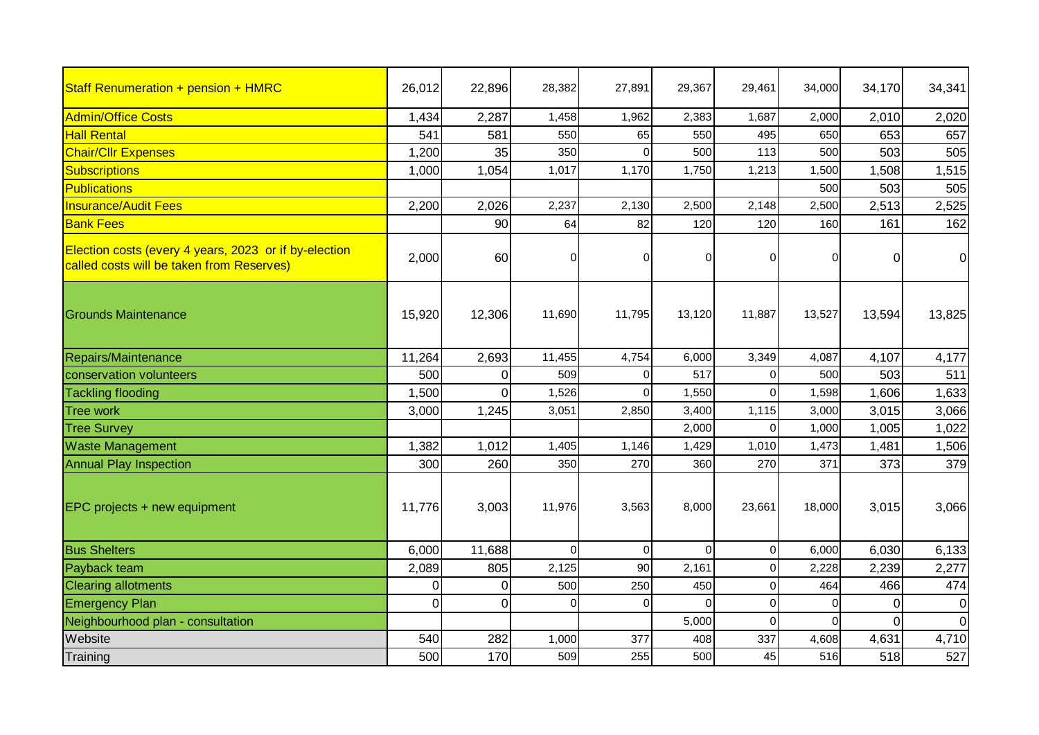| Staff Renumeration + pension + HMRC                                                                | 26,012   | 22,896   | 28,382   | 27,891   | 29,367   | 29,461         | 34,000   | 34,170   | 34,341         |
|----------------------------------------------------------------------------------------------------|----------|----------|----------|----------|----------|----------------|----------|----------|----------------|
| <b>Admin/Office Costs</b>                                                                          | 1,434    | 2,287    | 1,458    | 1,962    | 2,383    | 1,687          | 2,000    | 2,010    | 2,020          |
| <b>Hall Rental</b>                                                                                 | 541      | 581      | 550      | 65       | 550      | 495            | 650      | 653      | 657            |
| <b>Chair/Cllr Expenses</b>                                                                         | 1,200    | 35       | 350      |          | 500      | 113            | 500      | 503      | 505            |
| Subscriptions                                                                                      | 1,000    | 1,054    | 1,017    | 1,170    | 1,750    | 1,213          | 1,500    | 1,508    | 1,515          |
| Publications                                                                                       |          |          |          |          |          |                | 500      | 503      | 505            |
| <b>Insurance/Audit Fees</b>                                                                        | 2,200    | 2,026    | 2,237    | 2,130    | 2,500    | 2,148          | 2,500    | 2,513    | 2,525          |
| <b>Bank Fees</b>                                                                                   |          | 90       | 64       | 82       | 120      | 120            | 160      | 161      | 162            |
| Election costs (every 4 years, 2023 or if by-election<br>called costs will be taken from Reserves) | 2,000    | 60       | 0        |          | 0        | $\overline{0}$ | O        | 0        | $\overline{0}$ |
| <b>Grounds Maintenance</b>                                                                         | 15,920   | 12,306   | 11,690   | 11,795   | 13,120   | 11,887         | 13,527   | 13,594   | 13,825         |
| Repairs/Maintenance                                                                                | 11,264   | 2,693    | 11,455   | 4,754    | 6,000    | 3,349          | 4,087    | 4,107    | 4,177          |
| conservation volunteers                                                                            | 500      | 0        | 509      | $\Omega$ | 517      | $\mathbf 0$    | 500      | 503      | 511            |
| <b>Tackling flooding</b>                                                                           | 1,500    | $\Omega$ | 1,526    | $\Omega$ | 1,550    | $\Omega$       | 1,598    | 1,606    | 1,633          |
| <b>Tree work</b>                                                                                   | 3,000    | 1,245    | 3,051    | 2,850    | 3,400    | 1,115          | 3,000    | 3,015    | 3,066          |
| <b>Tree Survey</b>                                                                                 |          |          |          |          | 2,000    | $\mathbf 0$    | 1,000    | 1,005    | 1,022          |
| <b>Waste Management</b>                                                                            | 1,382    | 1,012    | 1,405    | 1,146    | 1,429    | 1,010          | 1,473    | 1,481    | 1,506          |
| <b>Annual Play Inspection</b>                                                                      | 300      | 260      | 350      | 270      | 360      | 270            | 371      | 373      | 379            |
| EPC projects + new equipment                                                                       | 11,776   | 3,003    | 11,976   | 3,563    | 8,000    | 23,661         | 18,000   | 3,015    | 3,066          |
| <b>Bus Shelters</b>                                                                                | 6,000    | 11,688   | $\Omega$ | $\Omega$ | $\Omega$ | $\overline{0}$ | 6,000    | 6,030    | 6,133          |
| Payback team                                                                                       | 2,089    | 805      | 2,125    | 90       | 2,161    | $\mathbf 0$    | 2,228    | 2,239    | 2,277          |
| <b>Clearing allotments</b>                                                                         | $\Omega$ | $\Omega$ | 500      | 250      | 450      | $\Omega$       | 464      | 466      | 474            |
| <b>Emergency Plan</b>                                                                              | $\Omega$ | 0        | 0        | 0        | $\Omega$ | $\Omega$       | $\Omega$ | $\Omega$ | $\overline{0}$ |
| Neighbourhood plan - consultation                                                                  |          |          |          |          | 5,000    | $\Omega$       | $\Omega$ | $\Omega$ | $\overline{0}$ |
| Website                                                                                            | 540      | 282      | 1,000    | 377      | 408      | 337            | 4,608    | 4,631    | 4,710          |
| Training                                                                                           | 500      | 170      | 509      | 255      | 500      | 45             | 516      | 518      | 527            |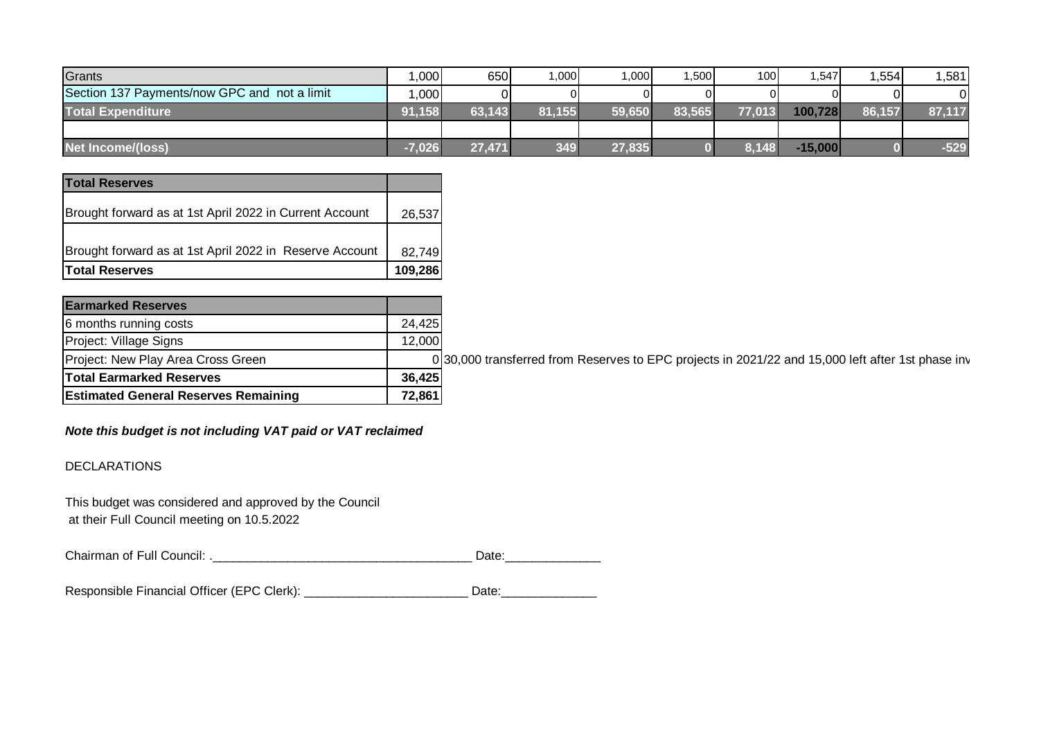| Grants                                       | ,000     | 650    | .000 <sub>1</sub> | ا000. ا | .500   | 100    | .547      | ,554   | 1,581  |
|----------------------------------------------|----------|--------|-------------------|---------|--------|--------|-----------|--------|--------|
| Section 137 Payments/now GPC and not a limit | ,000     |        | ΩI                | ΩI      |        |        |           |        |        |
| <b>Total Expenditure</b>                     | 91,158   | 63,143 | 81.155            | 59,650  | 83,565 | 77.013 | 100,728   | 86,157 | 87,117 |
|                                              |          |        |                   |         |        |        |           |        |        |
| Net Income/(loss)                            | $-7,026$ | 27,471 | 349               | 27,835  |        | 8,148  | $-15,000$ |        | $-529$ |

| <b>Total Reserves</b>                                   |         |  |  |  |  |
|---------------------------------------------------------|---------|--|--|--|--|
|                                                         |         |  |  |  |  |
| Brought forward as at 1st April 2022 in Current Account | 26,537  |  |  |  |  |
|                                                         |         |  |  |  |  |
| Brought forward as at 1st April 2022 in Reserve Account | 82,749  |  |  |  |  |
| <b>Total Reserves</b>                                   | 109,286 |  |  |  |  |

| <b>Earmarked Reserves</b>                   |        |  |  |
|---------------------------------------------|--------|--|--|
| 6 months running costs                      | 24,425 |  |  |
| Project: Village Signs                      | 12,000 |  |  |
| Project: New Play Area Cross Green          |        |  |  |
| <b>Total Earmarked Reserves</b>             | 36,425 |  |  |
| <b>Estimated General Reserves Remaining</b> |        |  |  |

 $\overline{D}$ 30,000 transferred from Reserves to EPC projects in 2021/22 and 15,000 left after 1st phase inv

*Note this budget is not including VAT paid or VAT reclaimed*

DECLARATIONS

This budget was considered and approved by the Council at their Full Council meeting on 10.5.2022

Chairman of Full Council: .\_\_\_\_\_\_\_\_\_\_\_\_\_\_\_\_\_\_\_\_\_\_\_\_\_\_\_\_\_\_\_\_\_\_\_\_\_\_ Date:\_\_\_\_\_\_\_\_\_\_\_\_\_\_

Responsible Financial Officer (EPC Clerk): \_\_\_\_\_\_\_\_\_\_\_\_\_\_\_\_\_\_\_\_\_\_\_\_\_\_\_\_\_\_\_\_\_\_Date: \_\_\_\_\_\_\_\_\_\_\_\_\_\_\_\_\_\_\_\_\_\_\_\_\_\_\_